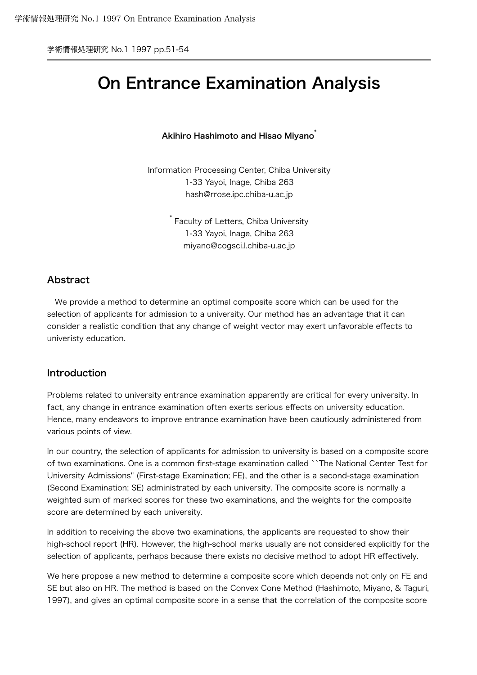学術情報処理研究 No.1 1997 pp.51-54

# On Entrance Examination Analysis

### Akihiro Hashimoto and Hisao Miyano<sup>\*</sup>

Information Processing Center, Chiba University 1-33 Yayoi, Inage, Chiba 263 hash@rrose.ipc.chiba-u.ac.jp

> \* Faculty of Letters, Chiba University 1-33 Yayoi, Inage, Chiba 263 miyano@cogsci.l.chiba-u.ac.jp

# Abstract

 We provide a method to determine an optimal composite score which can be used for the selection of applicants for admission to a university. Our method has an advantage that it can consider a realistic condition that any change of weight vector may exert unfavorable effects to univeristy education.

# Introduction

Problems related to university entrance examination apparently are critical for every university. In fact, any change in entrance examination often exerts serious effects on university education. Hence, many endeavors to improve entrance examination have been cautiously administered from various points of view.

In our country, the selection of applicants for admission to university is based on a composite score of two examinations. One is a common first-stage examination called ``The National Center Test for University Admissions'' (First-stage Examination; FE), and the other is a second-stage examination (Second Examination; SE) administrated by each university. The composite score is normally a weighted sum of marked scores for these two examinations, and the weights for the composite score are determined by each university.

In addition to receiving the above two examinations, the applicants are requested to show their high-school report (HR). However, the high-school marks usually are not considered explicitly for the selection of applicants, perhaps because there exists no decisive method to adopt HR effectively.

We here propose a new method to determine a composite score which depends not only on FE and SE but also on HR. The method is based on the Convex Cone Method (Hashimoto, Miyano, & Taguri, 1997), and gives an optimal composite score in a sense that the correlation of the composite score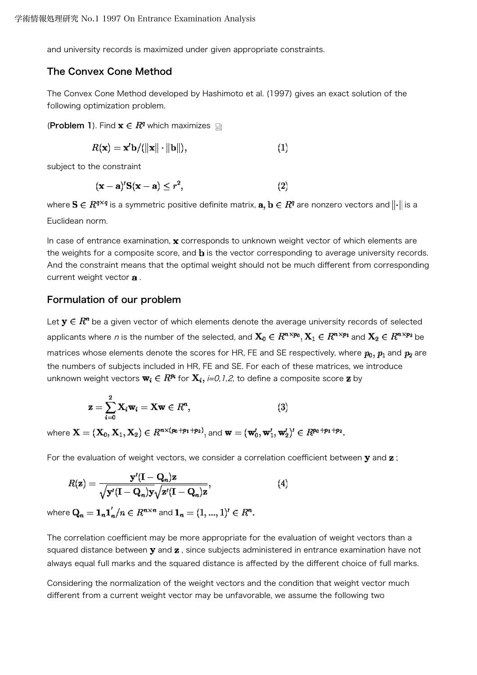and university records is maximized under given appropriate constraints.

### The Convex Cone Method

The Convex Cone Method developed by Hashimoto et al. (1997) gives an exact solution of the following optimization problem.

**(Problem 1)**. Find  $\mathbf{x} \in \mathbb{R}^q$  which maximizes  $\mathbb{R}$ 

$$
R(\mathbf{x}) = \mathbf{x}^T \mathbf{b} / (\|\mathbf{x}\| \cdot \|\mathbf{b}\|),\tag{1}
$$

subject to the constraint

$$
(\mathbf{x} - \mathbf{a})' \mathbf{S}(\mathbf{x} - \mathbf{a}) \le r^2,
$$
 (2)

where  $S \in R^{q \times q}$  is a symmetric positive definite matrix,  $a, b \in R^q$  are nonzero vectors and  $\|\cdot\|$  is a Euclidean norm.

In case of entrance examination,  $x$  corresponds to unknown weight vector of which elements are the weights for a composite score, and  **is the vector corresponding to average university records.** And the constraint means that the optimal weight should not be much different from corresponding current weight vector **a**.

# Formulation of our problem

Let  $y \in R^n$  be a given vector of which elements denote the average university records of selected applicants where n is the number of the selected, and  $X_0 \in R^{n \times p_0}, X_1 \in R^{n \times p_1}$  and  $X_2 \in R^{n \times p_2}$  be matrices whose elements denote the scores for HR, FE and SE respectively, where  $p_0$ ,  $p_1$  and  $p_2$  are the numbers of subjects included in HR, FE and SE. For each of these matrices, we introduce unknown weight vectors  $\mathbf{w}_i \in \mathbb{R}^{p_i}$  for  $\mathbf{X}_i$ , *i=0,1,2*, to define a composite score **z** by

$$
\mathbf{z} = \sum_{i=0}^{2} \mathbf{X}_i \mathbf{w}_i = \mathbf{X} \mathbf{w} \in R^n, \tag{3}
$$

where  $X = (X_0, X_1, X_2) \in R^{n \times (p_0 + p_1 + p_2)}$ , and  $\mathbf{w} = (\mathbf{w}'_0, \mathbf{w}'_1, \mathbf{w}'_2)' \in R^{p_0 + p_1 + p_2}$ .

For the evaluation of weight vectors, we consider a correlation coefficient between  $\mathbf y$  and  $\mathbf z$ ;

$$
R(\mathbf{z}) = \frac{\mathbf{y}'(\mathbf{I} - \mathbf{Q}_n)\mathbf{z}}{\sqrt{\mathbf{y}'(\mathbf{I} - \mathbf{Q}_n)\mathbf{y}}\sqrt{\mathbf{z}'(\mathbf{I} - \mathbf{Q}_n)\mathbf{z}}},\tag{4}
$$

where  $\mathbf{Q}_n = \mathbf{1}_n \mathbf{1}'_n / n \in R^{n \times n}$  and  $\mathbf{1}_n = (1, ..., 1)' \in R^n$ .

The correlation coefficient may be more appropriate for the evaluation of weight vectors than a squared distance between  $\mathbf y$  and  $\mathbf z$ , since subjects administered in entrance examination have not always equal full marks and the squared distance is affected by the different choice of full marks.

Considering the normalization of the weight vectors and the condition that weight vector much different from a current weight vector may be unfavorable, we assume the following two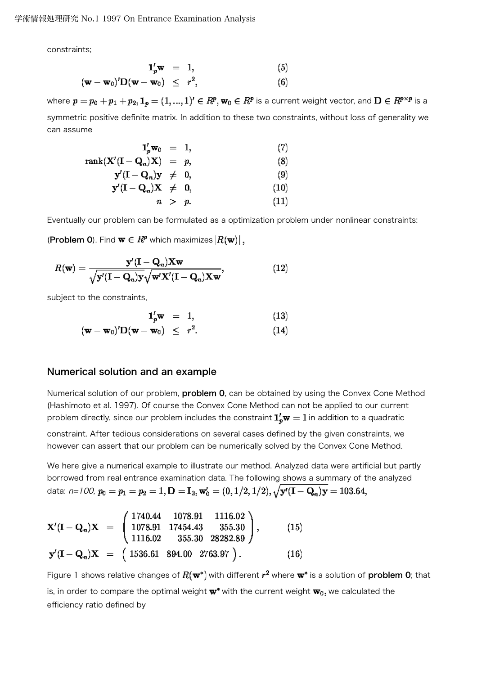constraints;

$$
\begin{array}{rcl}\n\mathbf{1}'_{p}\mathbf{w} & = & 1,\n\end{array} \tag{5}
$$
\n
$$
(\mathbf{w} - \mathbf{w}_{0})'\mathbf{D}(\mathbf{w} - \mathbf{w}_{0}) \leq r^{2}, \tag{6}
$$

where  $p = p_0 + p_1 + p_2$ ,  $\mathbf{1}_p = (1, ..., 1)^t \in R^p$ ,  $\mathbf{w}_0 \in R^p$  is a current weight vector, and  $\mathbf{D} \in R^{p \times p}$  is a symmetric positive definite matrix. In addition to these two constraints, without loss of generality we can assume

$$
\mathbf{1}_{p}^{I}\mathbf{w}_{0} = 1, \qquad (7)
$$
  
\n
$$
\operatorname{rank}(\mathbf{X}^{I}(\mathbf{I} - \mathbf{Q}_{n})\mathbf{X}) = p, \qquad (8)
$$
  
\n
$$
\mathbf{y}^{I}(\mathbf{I} - \mathbf{Q}_{n})\mathbf{y} \neq 0, \qquad (9)
$$
  
\n
$$
\mathbf{y}^{I}(\mathbf{I} - \mathbf{Q}_{n})\mathbf{X} \neq 0, \qquad (10)
$$
  
\n
$$
n > p. \qquad (11)
$$

Eventually our problem can be formulated as a optimization problem under nonlinear constraints:

(Problem 0). Find  $\mathbf{w} \in \mathbb{R}^p$  which maximizes  $|R(\mathbf{w})|$ ,

$$
R(\mathbf{w}) = \frac{\mathbf{y}'(\mathbf{I} - \mathbf{Q}_n)\mathbf{X}\mathbf{w}}{\sqrt{\mathbf{y}'(\mathbf{I} - \mathbf{Q}_n)\mathbf{y}}\sqrt{\mathbf{w}'\mathbf{X}'(\mathbf{I} - \mathbf{Q}_n)\mathbf{X}\mathbf{w}}},\tag{12}
$$

subject to the constraints,

$$
\mathbf{1}'_{p}\mathbf{w} = 1, \qquad (13)
$$

$$
(\mathbf{w} - \mathbf{w}_0)' \mathbf{D}(\mathbf{w} - \mathbf{w}_0) \leq r^2. \qquad (14)
$$

### Numerical solution and an example

Numerical solution of our problem, **problem 0**, can be obtained by using the Convex Cone Method (Hashimoto et al. 1997). Of course the Convex Cone Method can not be applied to our current problem directly, since our problem includes the constraint  $\mathbf{1}_v^r \mathbf{w} = 1$  in addition to a quadratic

constraint. After tedious considerations on several cases defined by the given constraints, we however can assert that our problem can be numerically solved by the Convex Cone Method.

We here give a numerical example to illustrate our method. Analyzed data were artificial but partly borrowed from real entrance examination data. The following shows a summary of the analyzed data: n=100,  $p_0 = p_1 = p_2 = 1, D = I_3$ ,  $\mathbf{w}'_0 = (0, 1/2, 1/2), \sqrt{\mathbf{y}'(I - \mathbf{Q}_n)\mathbf{y}} = 103.64$ ,

$$
\mathbf{X}'(\mathbf{I}-\mathbf{Q}_n)\mathbf{X} = \begin{pmatrix} 1740.44 & 1078.91 & 1116.02 \\ 1078.91 & 17454.43 & 355.30 \\ 1116.02 & 355.30 & 28282.89 \end{pmatrix}, \qquad (15)
$$

$$
\mathbf{y}'(\mathbf{I}-\mathbf{Q}_n)\mathbf{X} = \begin{pmatrix} 1536.61 & 894.00 & 2763.97 \end{pmatrix}.
$$
 (16)

Figure 1 shows relative changes of  $R(\mathbf{w}^*)$  with different  $r^2$  where  $\mathbf{w}^*$  is a solution of problem 0; that is, in order to compare the optimal weight  $\mathbf{w}^*$  with the current weight  $\mathbf{w}_0$ , we calculated the efficiency ratio defined by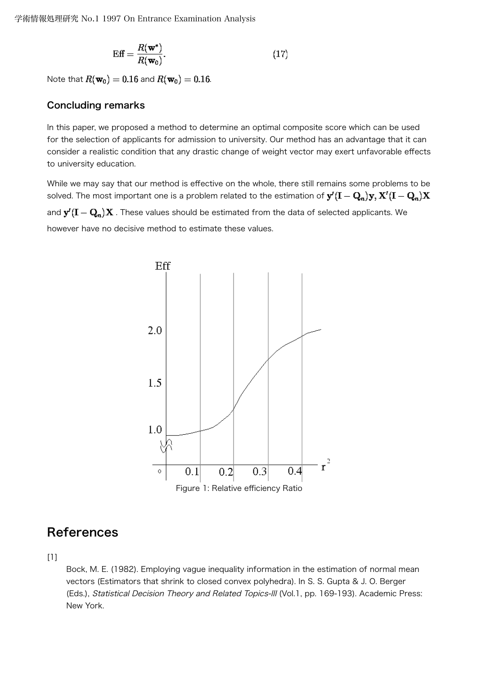$$
\text{Eff} = \frac{R(\mathbf{w}^*)}{R(\mathbf{w}_0)}.
$$
\n(17)

Note that  $R(\mathbf{w}_0) = 0.16$  and  $R(\mathbf{w}_0) = 0.16$ .

# Concluding remarks

In this paper, we proposed a method to determine an optimal composite score which can be used for the selection of applicants for admission to university. Our method has an advantage that it can consider a realistic condition that any drastic change of weight vector may exert unfavorable effects to university education.

While we may say that our method is effective on the whole, there still remains some problems to be solved. The most important one is a problem related to the estimation of  $\mathbf{y}'(\mathbf{I}-\mathbf{Q}_n)\mathbf{y},\mathbf{X}'(\mathbf{I}-\mathbf{Q}_n)\mathbf{X}$ and  $\mathbf{y}'(\mathbf{I}-\mathbf{Q}_n)\mathbf{X}$  . These values should be estimated from the data of selected applicants. We however have no decisive method to estimate these values.



# References

 $[1]$ 

Bock, M. E. (1982). Employing vague inequality information in the estimation of normal mean vectors (Estimators that shrink to closed convex polyhedra). In S. S. Gupta & J. O. Berger (Eds.), Statistical Decision Theory and Related Topics-III (Vol.1, pp. 169-193). Academic Press: New York.